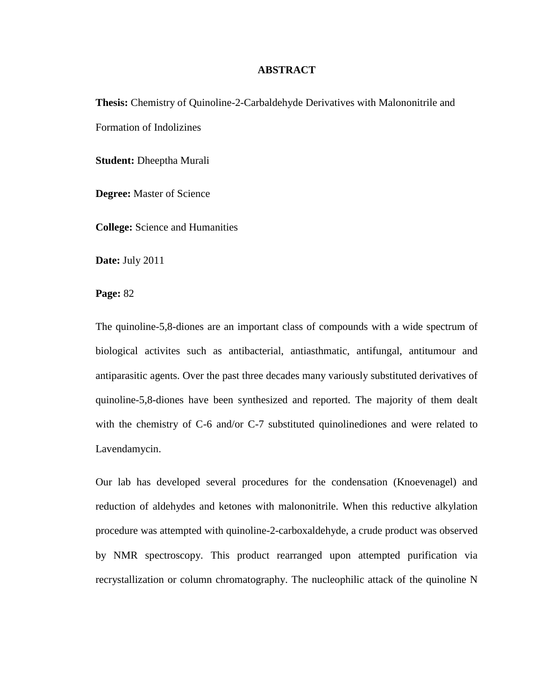## **ABSTRACT**

**Thesis:** Chemistry of Quinoline-2-Carbaldehyde Derivatives with Malononitrile and Formation of Indolizines

**Student:** Dheeptha Murali

**Degree:** Master of Science

**College:** Science and Humanities

**Date:** July 2011

**Page:** 82

The quinoline-5,8-diones are an important class of compounds with a wide spectrum of biological activites such as antibacterial, antiasthmatic, antifungal, antitumour and antiparasitic agents. Over the past three decades many variously substituted derivatives of quinoline-5,8-diones have been synthesized and reported. The majority of them dealt with the chemistry of C-6 and/or C-7 substituted quinolinediones and were related to Lavendamycin.

Our lab has developed several procedures for the condensation (Knoevenagel) and reduction of aldehydes and ketones with malononitrile. When this reductive alkylation procedure was attempted with quinoline-2-carboxaldehyde, a crude product was observed by NMR spectroscopy. This product rearranged upon attempted purification via recrystallization or column chromatography. The nucleophilic attack of the quinoline N